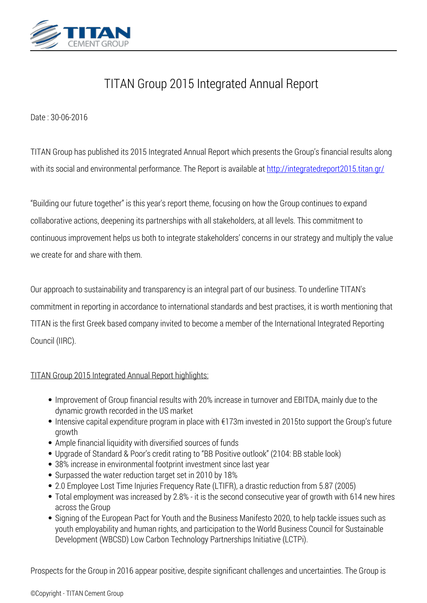

## *TITAN Group 2015 Integrated Annual Report*

*Date : 30-06-2016*

*TITAN Group has published its 2015 Integrated Annual Report which presents the Group's financial results along* with its social and environmental performance. The Report is available at <http://integratedreport2015.titan.gr/>

*"Building our future together" is this year's report theme, focusing on how the Group continues to expand collaborative actions, deepening its partnerships with all stakeholders, at all levels. This commitment to continuous improvement helps us both to integrate stakeholders' concerns in our strategy and multiply the value we create for and share with them.*

*Our approach to sustainability and transparency is an integral part of our business. To underline TITAN's commitment in reporting in accordance to international standards and best practises, it is worth mentioning that TITAN is the first Greek based company invited to become a member of the International Integrated Reporting Council (IIRC).*

## *TITAN Group 2015 Integrated Annual Report highlights:*

- *Improvement of Group financial results with 20% increase in turnover and EBITDA, mainly due to the dynamic growth recorded in the US market*
- *Intensive capital expenditure program in place with €173m invested in 2015to support the Group's future growth*
- *Ample financial liquidity with diversified sources of funds*
- *Upgrade of Standard & Poor's credit rating to "BB Positive outlook" (2104: BB stable look)*
- *38% increase in environmental footprint investment since last year*
- *Surpassed the water reduction target set in 2010 by 18%*
- *2.0 Employee Lost Time Injuries Frequency Rate (LTIFR), a drastic reduction from 5.87 (2005)*
- *Total employment was increased by 2.8% it is the second consecutive year of growth with 614 new hires across the Group*
- *Signing of the European Pact for Youth and the Business Manifesto 2020, to help tackle issues such as youth employability and human rights, and participation to the World Business Council for Sustainable Development (WBCSD) Low Carbon Technology Partnerships Initiative (LCTPi).*

*Prospects for the Group in 2016 appear positive, despite significant challenges and uncertainties. The Group is*